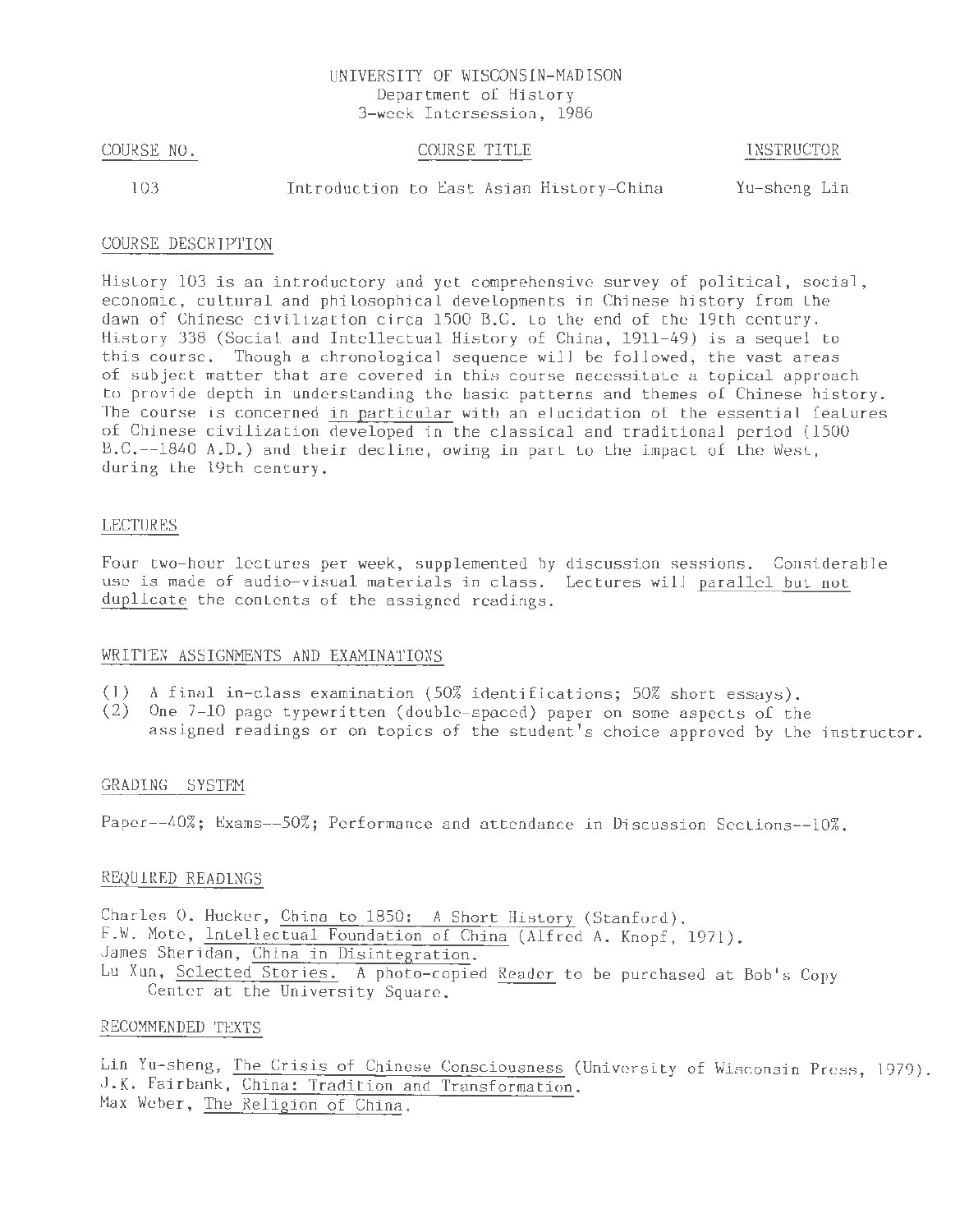## UNIVERSITY OF \viSCONSIN-MADISON Department of History 3-week Intersession, 1986

## COURSE NO.

#### COURSE TITLE **INSTRUCTOR**

103 Introduction to East Asian History-China Yu-sheng Lin

#### COURSE DESCRIPTION

History 103 is an introductory and yet comprehensive survey of political, social, economic, cultural and philosophical developments in Chinese history from the dawn of Chinese civilization circa 1500 B.C. to the end of the 19th century . History 338 (Social and Intellectual History of China, 1911-49) is a sequel to this course. Though a chronological sequence will be followed, the vast areas of subject matter that are covered in this course necessitate a topical approach to provide depth in understanding the basic patterns and themes of Chinese history . The course is concerned in particular with an elucidation of the essential features of Chinese civilization developed in the classical and traditional period (1500 B.C.--1840 A.D.) and their decline, owing in part to the impact of the West, during the 19th century.

## LECTURES

Four two- hour lectures per week , supplemented by discussion sessions. Considerable use is made of audio- visual materials in class. Lectures will parallel but not duplicate the contents of the assigned readings.

## WRITTEN ASSIGNMENTS AND EXAMINATIONS

- (1) A final in-class examination (50% identifications; 50% short essays) .
- (2) One 7- 10 page typewritten (double- spaced) paper on some aspects of the assigned readings or on topics of the student's choice approved by the instructor.

#### GRADING SYSTEM

Paper--40%; Exams--50%; Performance and attendance in Discussion Sections--10%.

## REQUIRED READINGS

Charles O. Hucker, China to 1850: A Short History (Stanford). F.W. Mote, Intellectual Foundation of China (Alfred A. Knopf, 1971). James Sheridan, China in Disintegration. Lu Xun, Selected Stories. A photo-copied Reader to be purchased at Bob's Copy Center at the University Square.

#### RECOMMENDED TEXTS

Lin Yu-sheng, The Crisis of Chinese Consciousness (University of Wisconsin Press, 1979). J.K. Fairbank, China: Tradition and Transformation. Max Weber, The Religion of China.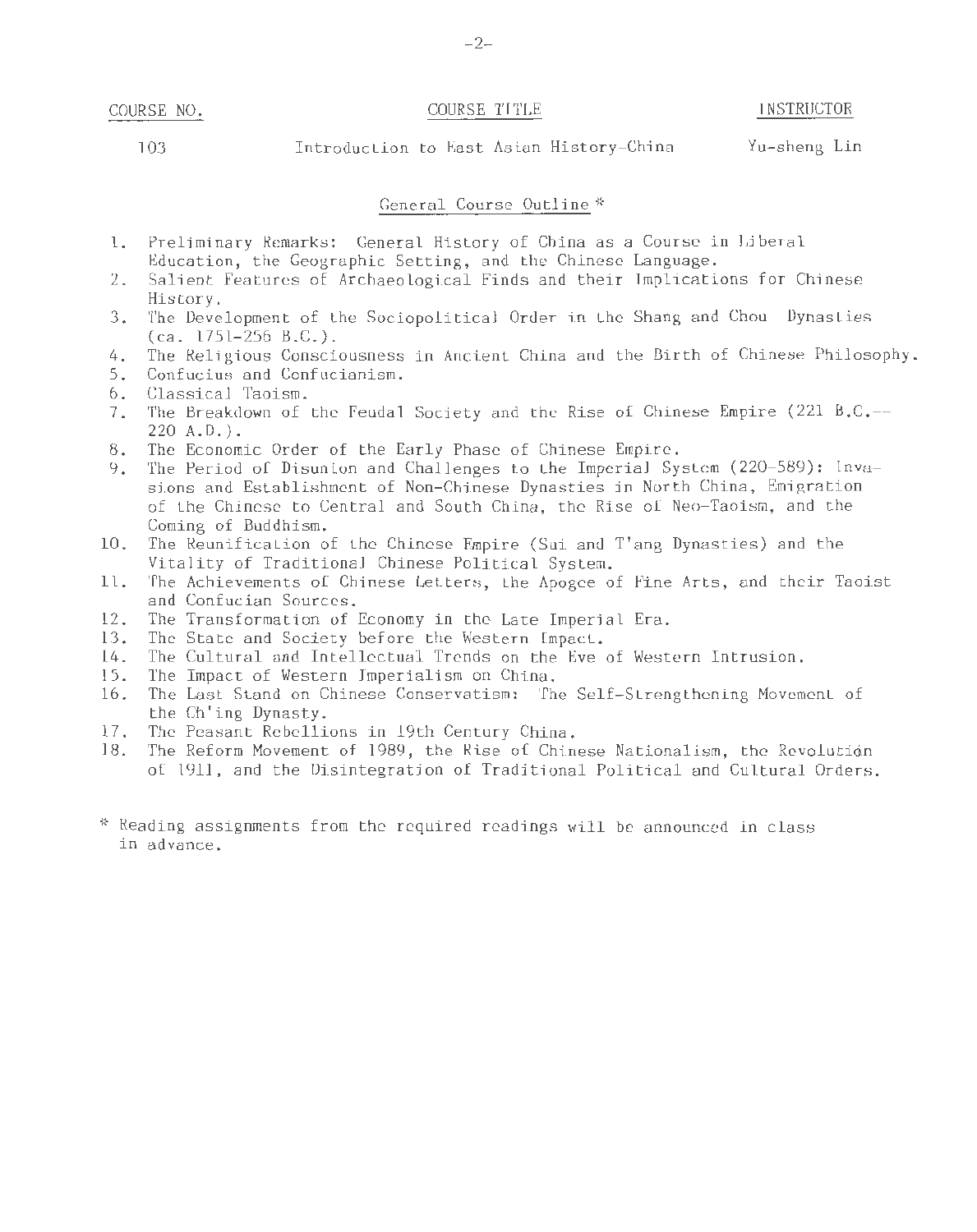## COURSE NO. COURSE TITLE COURSE TITLE

103 Introduction to East Asian History-China Yu-sheng Lin

#### General Course Outline\*

- 1. Preliminary Remarks: General History of China as a Course in Liberal Education, the Geographic Setting, and the Chinese Language .
- 2. Salient Features of Archaeological Finds and their Implications for Chinese History .
- 3. The Development of the Sociopolitical Order in the Shang and Chou Dynasties (ca. 1751-256 B.C.).
- 4. The Religious Consciousness in Ancient China and the Birth of Chinese Philosophy.
- 5. Confucius and Confucianism.
- 6. Classical Taoism.<br>7. The Breakdown of
- The Breakdown of the Feudal Society and the Rise of Chinese Empire (221 B.C.--220 A.D.).
- 8. The Economic Order of the Early Phase of Chinese Empire.
- 9. The Period of Disunion and Challenges to the Imperial System (220-589): Invasions and Establishment of Non-Chinese Dynasties in North China, Emigration of the Chinese to Central and South China, the Rise of Neo-Taoism, and the Coming of Buddhism.
- 10. The Reunification of the Chinese Empire (Sui and T'ang Dynasties) and the Vitality of Traditional Chinese Political System.
- 11. The Achievements of Chinese Letters, the Apogee of Fine Arts, and their Taoist and Confucian Sources.
- 12. The Transformation of Economy in the Late Imperial Era.
- 13. The State and Society before the Western Impact.
- 14. The Cultural and Intellectual Trends on the Eve of Western Intrusion.<br>15. The Impact of Western Imperialism on China.
- The Impact of Western Imperialism on China.
- 16 . The Last Stand on Chinese Conservatism: The Self-Strengthening Movement of the Ch ' ing Dynasty .
- 17. The Peasant Rebellions in 19th Century China.
- 18. The Reform Movement of 1989, the Rise of Chinese Nationalism, the Revolution of 1911, and the Disintegration of Traditional Political and Cultural Orders.
- \* Reading assignments from the required readings will be announced in class in advance.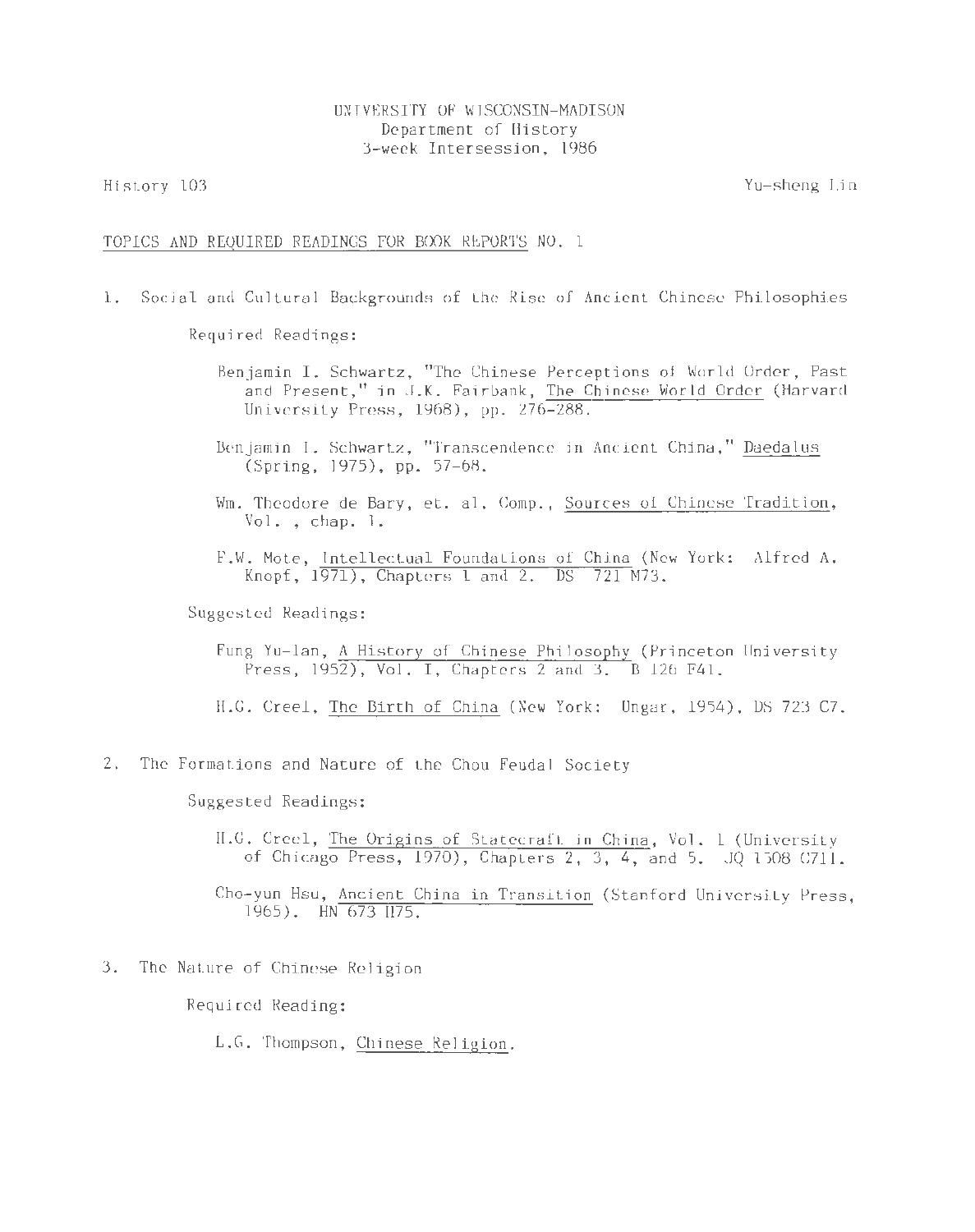## UNIVERSITY OF WISCONSIN-MADISON Department of History 3-week Intersession, 1986

History 103

Yu-sheng Lin

## TOPICS AND REQUIRED READINGS FOR BOOK REPORTS NO. 1

1. Social and Cultural Backgrounds of the Rise of Ancient Chinese Philosophies

Required Readings:

- Benjamin I. Schwartz, "The Chinese Perceptions of World Order, Past and Present," in J.K. Fairbank, The Chinese World Order (Harvard University Press, 1968), pp. 276-288.
- Benjamin I. Schwartz, "Transcendence in Ancient China," Daedalus (Spring, 1975), pp. 57-68.
- Wm. Theodore de Bary, et. al. Comp., Sources of Chinese Tradition,  $Vol.$ , chap.  $l.$
- F.W. Mote, Intellectual Foundations of China (New York: Alfred A. Knopf, 1971), Chapters 1 and 2. DS 721 M73.

Suggested Readings:

Fung Yu-lan, A History of Chinese Philosophy (Princeton University Press, 1952), Vol. I, Chapters 2 and 3. B 126 F41.

- H.G. Creel, The Birth of China (New York: Ungar, 1954), DS 723 C7.
- 2. The Formations and Nature of the Chou Feudal Society

Suggested Readings:

H.G. Creel, The Origins of Statecraft in China, Vol. 1 (University of Chicago Press, 1970), Chapters 2, 3, 4, and 5. JQ 1508 C711.

Cho-yun Hsu, Ancient China in Transition (Stanford University Press, 1965). HN 673 H75.

3. The Nature of Chinese Religion

Required Reading:

L.G. Thompson, Chinese Religion.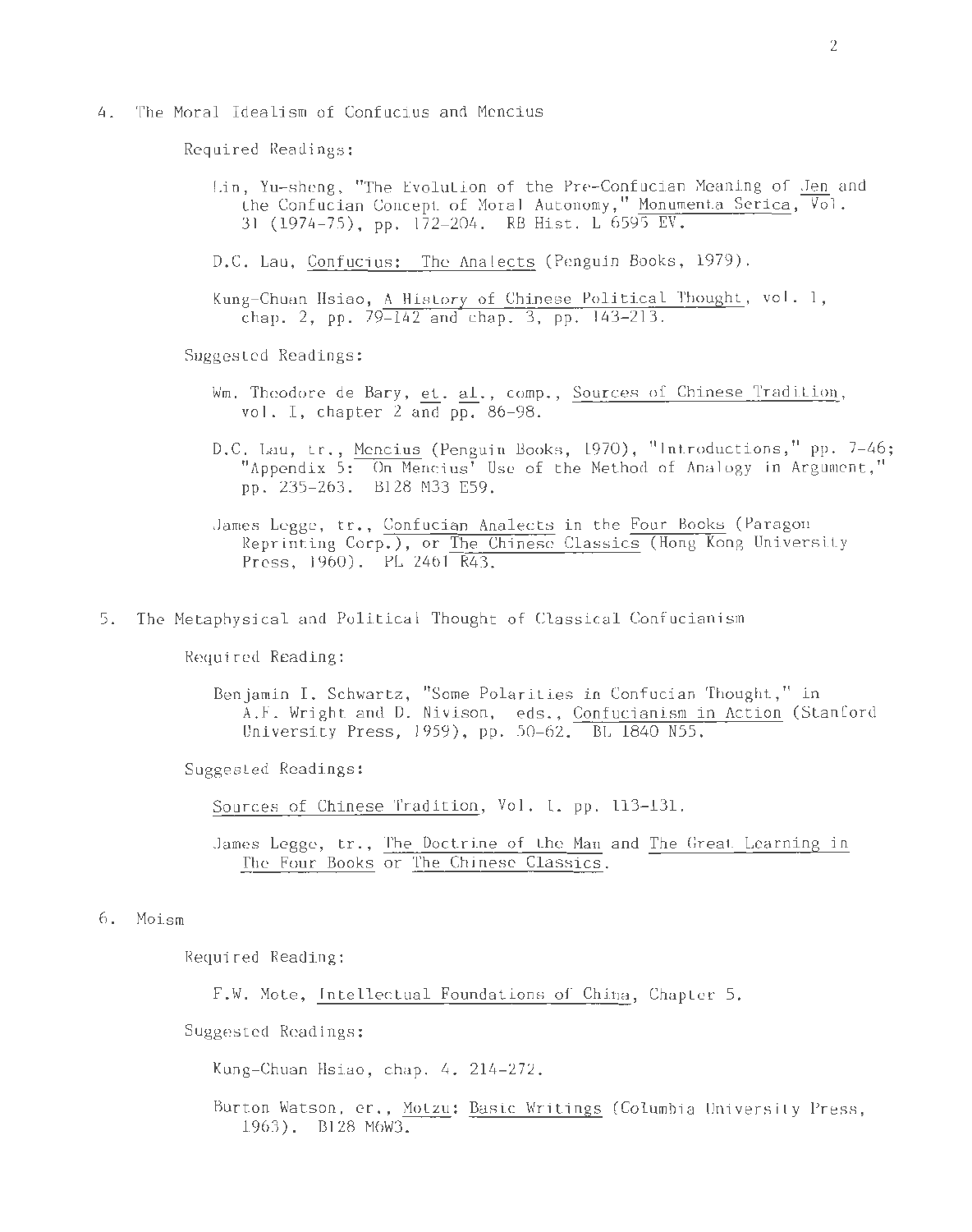4. The Moral Idealism of Confucius and Mencius

Required Readings:

Lin, Yu-sheng, "The Evolution of the Pre-Confucian Meaning of Jen and the Confucian Concept of Moral Autonomy," Monumenta Serica, Vol . 31 (1974-75), pp. 172-204 . RB Hist. L 6595 EV.

D.C. Lau, Confucius: The Analects (Penguin Books, 1979).

Kung-Chuan Hsiao, <u>A History of Chinese Political Thought</u>, vol. 1, chap. 2, pp. 79-142 and chap. 3, pp. 143-213.

SuggesLed Readings:

- Wm. Theodore de Bary, et. al., comp., Sources of Chinese Tradition, vol. I, chapter 2 and  $p\overline{p}$ . 86-98.
- D.C. Lau, tr., Mencius (Penguin Books, 1970), "Introductions," pp. 7-46; "Appendix 5: On Mencius' Use of the Method of Analogy in Argument," pp. 235-263 . B128 M33 E59.
- James Legge, tr., Confucian Analects in the Four Books (Paragon Reprinting Corp.), or The Chinese Classics (Hong Kong University Press, 1960). PL 2461 R43.
- 5. The Metaphysical and Political Thought of Classical Confucianism

Required Reading :

Benjamin I. Schwartz, "Some Polarities in Confucian Thought," in A.F. Wright and D. Nivison, eds., Confucianism in Action (Stanford University Press, 1959), pp. 50-62. BL 1840 N55.

SuggesLed Readings:

Sources of Chinese Tradition, Vol. I. pp. 113-131.

James Legge, tr., The Doctrine of the Man and The Great Learning in The Four Books or The Chinese Classics.

#### 6. Moism

Required Reading :

F.W. Mote, Intellectual Foundations of China, Chapter 5.

Suggested Readings:

Kung-Chuan Hsiao, chap. 4. 214-272.

Burton Watson, er., Motzu: Basic Writings (Columbia University Press, 1963) . B128 M6W3.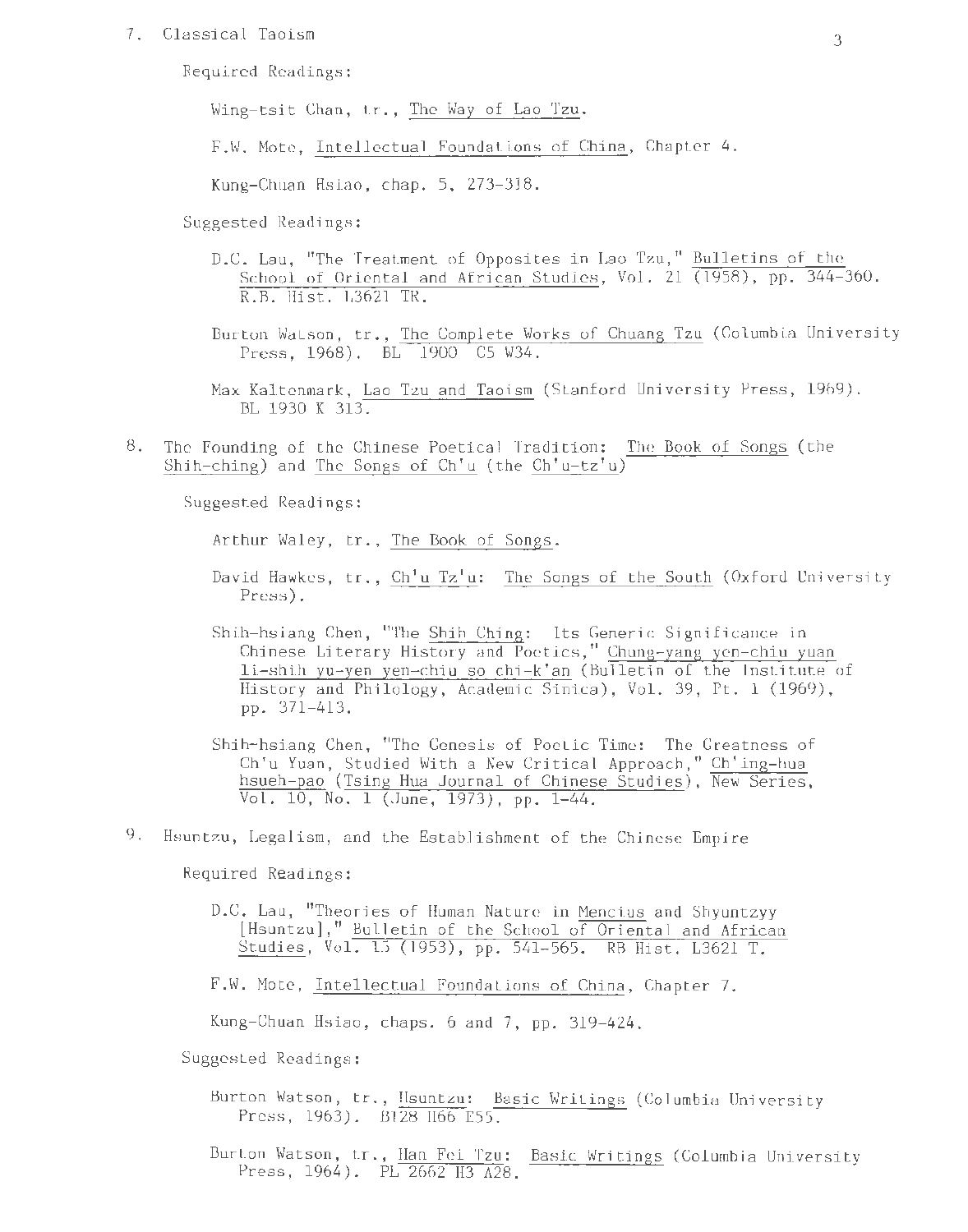# 7. Classical Taoism 3

Required Readings:

Wing-tsit Chan, tr., The Way of Lao Tzu.

F.W. Mote, Intellectual Foundations of China, Chapter 4.

Kung-Chuan Hsiao, chap. 5, 273-318.

Suggested Readings:

- D.C. Lau, "The Treatment of Opposites in Lao Tzu," Bulletins of the School of Oriental and African Studies, Vol. 21 (1958), pp. 344-360. R.B. Hist. L3621 TR.
- Burton Watson, tr., The Complete Works of Chuang Tzu (Columbia University Press, 1968). BL 1900 C5 W34.
- Max Kaltenmark, Lao Tzu and Taoism (Stanford University Press, 1969). BL 1930 K 313.
- 8. The Founding of the Chinese Poetical Tradition: The Book of Songs (the Shih-ching) and The Songs of Ch'u (the Ch'u-tz'u)

Suggested Readings:

Arthur Waley, tr., The Book of Songs.

- David Hawkes, tr., Ch'u Tz'u: The Songs of the South (Oxford University Press).
- Shih-hsiang Chen, "The Shih Ching: Its Generic Significance in Chinese Literary History and Poetics," Chung-yang yen-chiu yuan li-shih yu-yen yen-chiu so chi-k'an (Bulletin of the Institute of History and Philology, Academic Sinica), Vol. 39, Pt. 1 (1969), pp. 371-413.
- Shih-hsiang Chen, "The Genesis of Poetic Time: The Greatness of Ch'u Yuan, Studied With a New Critical Approach," Ch'ing-hua hsueh-pao (Tsing Hua Journal of Chinese Studies), New Series, Vol. 10, No. 1 (June, 1973), pp. 1- 44.
- 9. Hsuntzu, Legalism, and the Establishment of the Chinese Empire

Required Readings:

D.C. Lau, "Theories of Human Nature in Mencius and Shyuntzyy [Hsuntzu]," Bulletin of the School of Oriental and African Studies, Vol. 15 (1953), pp. 541-565. RB Hist. L3621 T.

F.W. Mote, Intellectual Foundations of China, Chapter 7.

Kung-Chuan Hsiao, chaps. 6 and 7, pp. 319-424.

Suggested Readings:

- Burton Watson, tr., Hsuntzu: Basic Writings (Columbia University Press, 1963). B128 H66 E55.
- Burton Watson, tr., Han Fei Tzu: Basic Writings (Columbia University Press, 1964). PL 2662 H3 A28.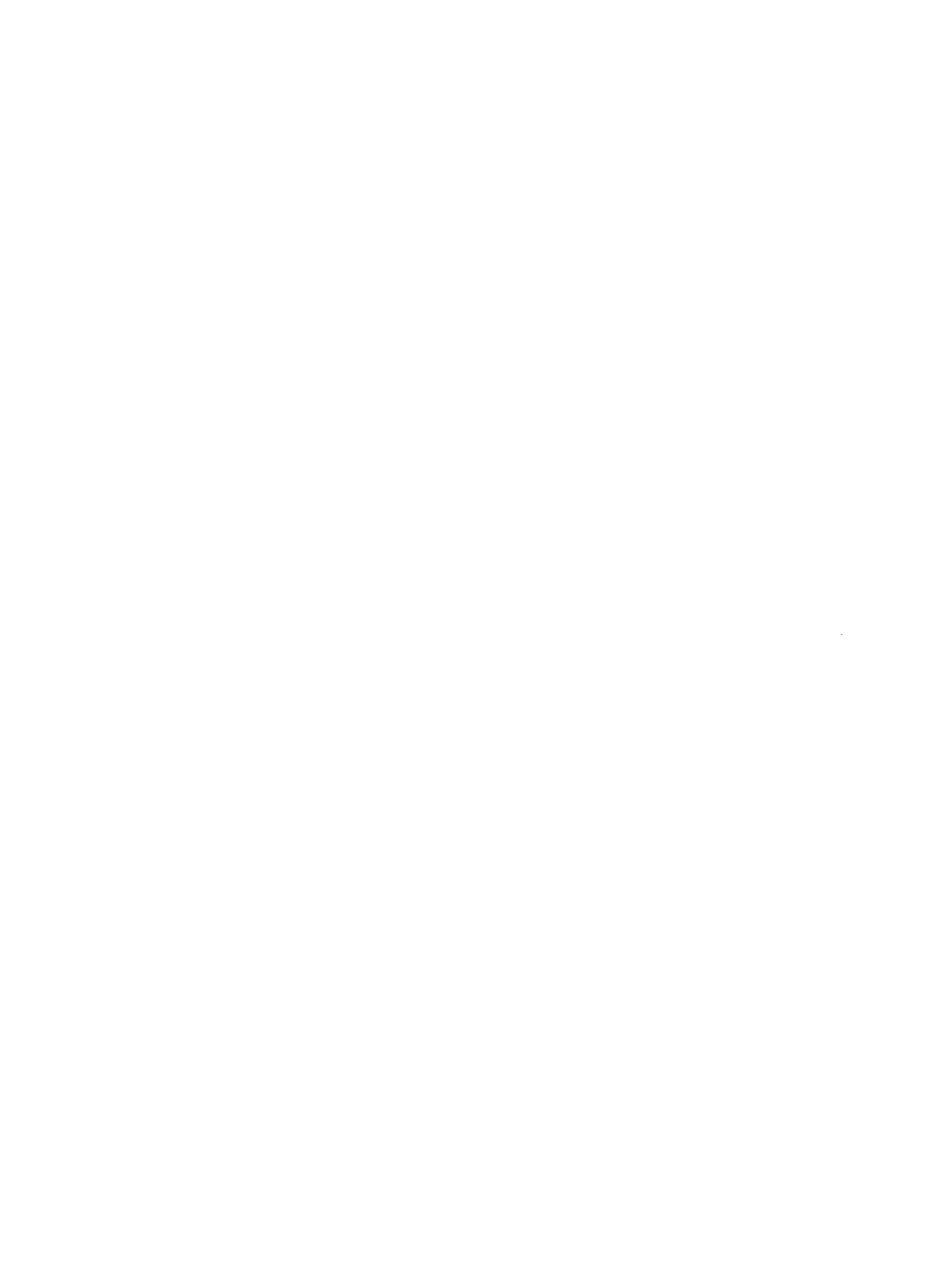$\mathcal{L}^{\text{max}}_{\text{max}}$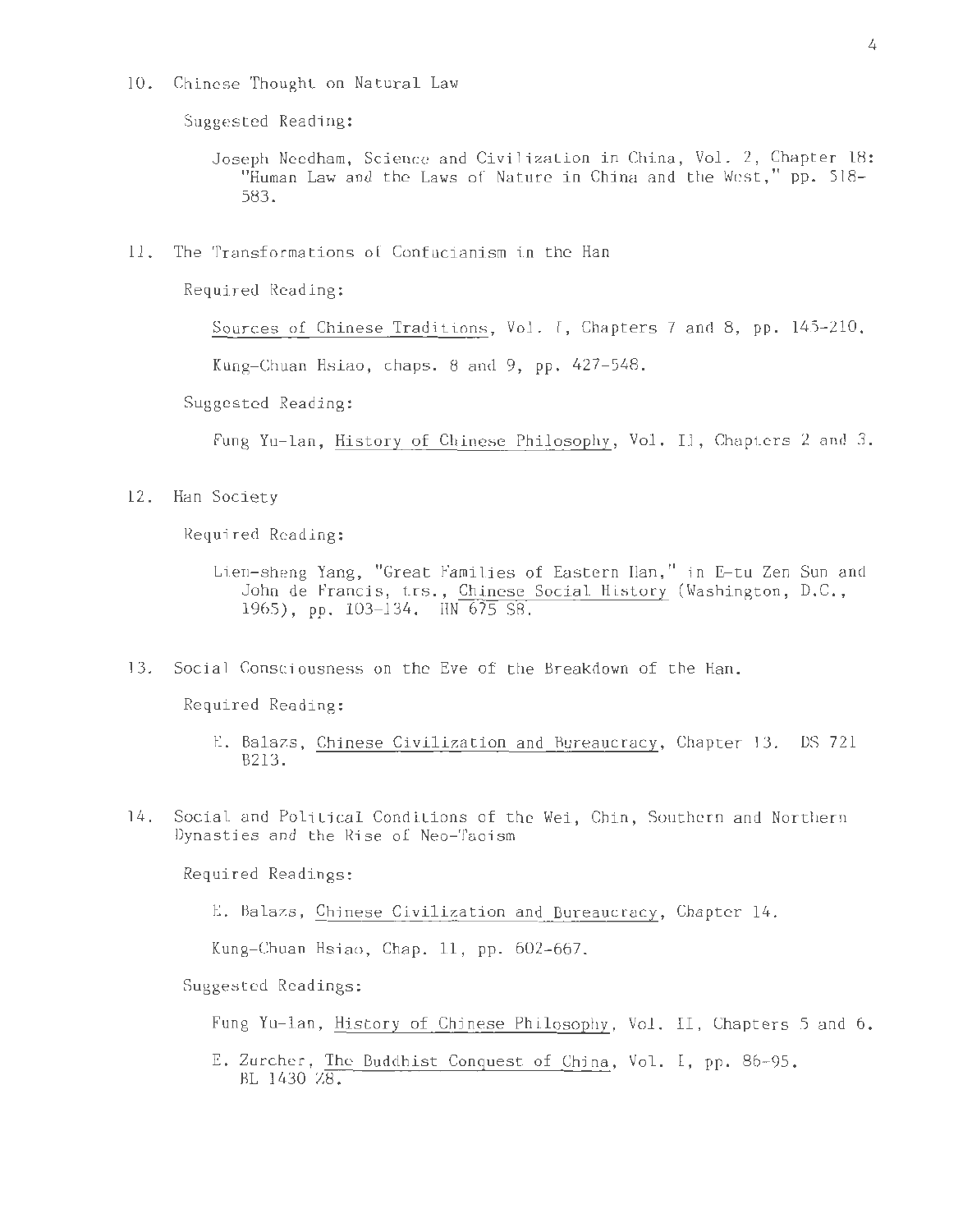10. Chinese Thought on Natural Law

Suggested Reading:

Joseph Needham, Science and Civilization in China, Vol. 2, Chapter 18 : "Human Law and the Laws of NaLure in China and the West," pp. 518- 583.

11. The Transformations of Confucianism in the Han

Required Reading:

Sources of Chinese Traditions, Vol . I , Chapters 7 and 8, pp. 145-210.

Kung-Chuan Hsiao, chaps.  $8$  and  $9$ , pp.  $427-548$ .

Suggested Reading:

Fung Yu-lan, History of Chinese Philosophy, Vol. II, Chapters 2 and 3.

12. Han Society

Required Reading:

Lien-sheng Yang, "Great Families of Eastern Han," in E-tu Zen Sun and John de Francis, trs. , Chinese Social History (Washington, D.C., 1965), pp. 103-134. HN 675 S8.

13. Social Consciousness on the Eve of the Breakdown of the Han.

Required Reading:

- E. Balazs, Chinese Civilization and Bureaucracy, Chapter 13. DS 721 B213.
- 14 . Social and Political Conditions of the Wei, Chin, Southern and Northern Dynasties and the Rise of Neo-Taoism

Required Readings:

E. Balazs, Chinese Civilization and Bureaucracy, Chapter 14.

Kung-Chuan Hsiao, Chap. 11, pp. 602-667.

Suggested Readings:

Fung Yu-lan, History of Chinese Philosophy, Vol . II, Chapters 5 and 6.

E. Zurcher, The Buddhist Conquest of China, Vol. I, pp. 86-95.  $BL$  1430  $Z\overline{8}$ .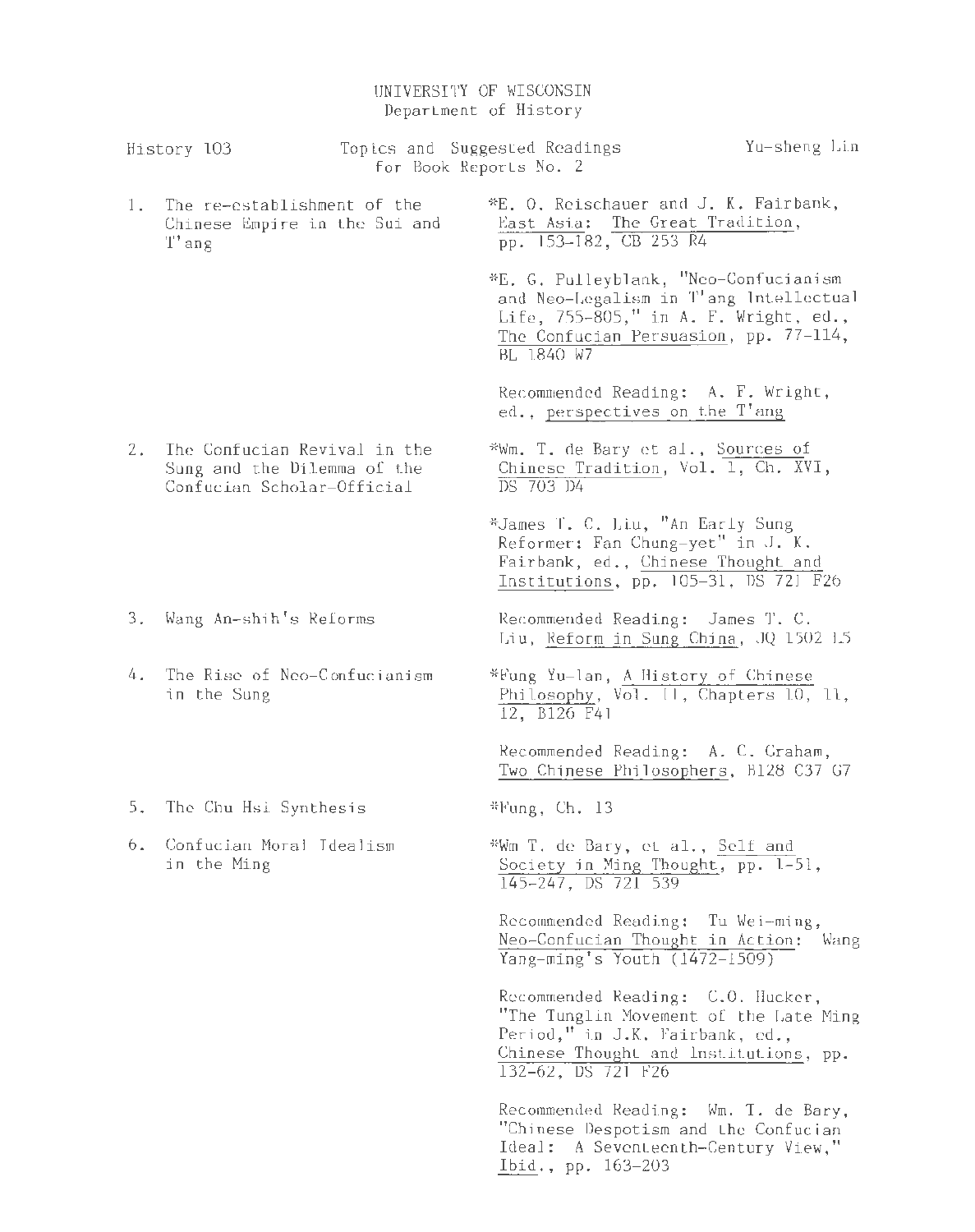## UNIVERSITY OF WISCONSIN Department of History

|    | History 103                                                                               | Topics and Suggested Readings<br>for Book Reports No. 2 |                                                                                                                                                                                 | Yu-sheng Lin |
|----|-------------------------------------------------------------------------------------------|---------------------------------------------------------|---------------------------------------------------------------------------------------------------------------------------------------------------------------------------------|--------------|
| 1. | The re-establishment of the<br>Chinese Empire in the Sui and<br>T'ang                     |                                                         | *E. O. Reischauer and J. K. Fairbank,<br>East Asia: The Great Tradition,<br>pp. 153-182, CB 253 R4                                                                              |              |
|    |                                                                                           |                                                         | *E. G. Pulleyblank, "Neo-Confucianism<br>and Neo-Legalism in T'ang Intellectual<br>Life, 755-805," in A. F. Wright, ed.,<br>The Confucian Persuasion, pp. 77-114,<br>BL 1840 W7 |              |
|    |                                                                                           |                                                         | Recommended Reading: A. F. Wright,<br>ed., perspectives on the T'ang                                                                                                            |              |
| 2. | The Confucian Revival in the<br>Sung and the Dilemma of the<br>Confucian Scholar-Official |                                                         | *Wm. T. de Bary et al., Sources of<br>Chinese Tradition, Vol. 1, Ch. XVI,<br>DS 703 D4                                                                                          |              |
|    |                                                                                           |                                                         | *James T. C. Liu, "An Early Sung<br>Reformer: Fan Chung-yet" in J. K.<br>Fairbank, ed., Chinese Thought and<br>Institutions, pp. 105-31, DS 721 F26                             |              |
| З. | Wang An-shih's Reforms                                                                    |                                                         | Recommended Reading: James T. C.<br>Liu, Reform in Sung China, JQ 1502 1.5                                                                                                      |              |
| 4. | The Rise of Neo-Confucianism<br>in the Sung                                               |                                                         | *Fung Yu-lan, A History of Chinese<br>Philosophy, Vol. II, Chapters 10, 11,<br>12, $B126 F41$                                                                                   |              |
|    |                                                                                           |                                                         | Recommended Reading: A. C. Graham,<br>Two Chinese Philosophers, B128 C37 G7                                                                                                     |              |
| 5. | The Chu Hsi Synthesis                                                                     |                                                         | #Fung, Ch. 13                                                                                                                                                                   |              |
|    | 6. Confucian Moral Idealism<br>in the Ming                                                |                                                         | *Wm T. de Bary, et al., Self and<br>Society in Ming Thought, pp. 1-51,<br>145-247, DS 721 539                                                                                   |              |
|    |                                                                                           |                                                         | Recommended Reading: Tu Wei-ming,<br>Neo-Confucian Thought in Action:<br>Yang-ming's Youth (1472-1509)                                                                          | Wang         |
|    |                                                                                           |                                                         | Recommended Reading: C.O. Hucker,<br>"The Tunglin Movement of the Late Ming<br>Period," in J.K. Fairbank, ed.,<br>Chinese Thought and Institutions, pp.<br>132-62, DS 721 F26   |              |
|    |                                                                                           |                                                         | Recommended Reading: Wm. T. de Bary,<br>"Chinese Despotism and the Confucian<br>Ideal: A Seventeenth-Century View,"<br>Ibid., pp. 163-203                                       |              |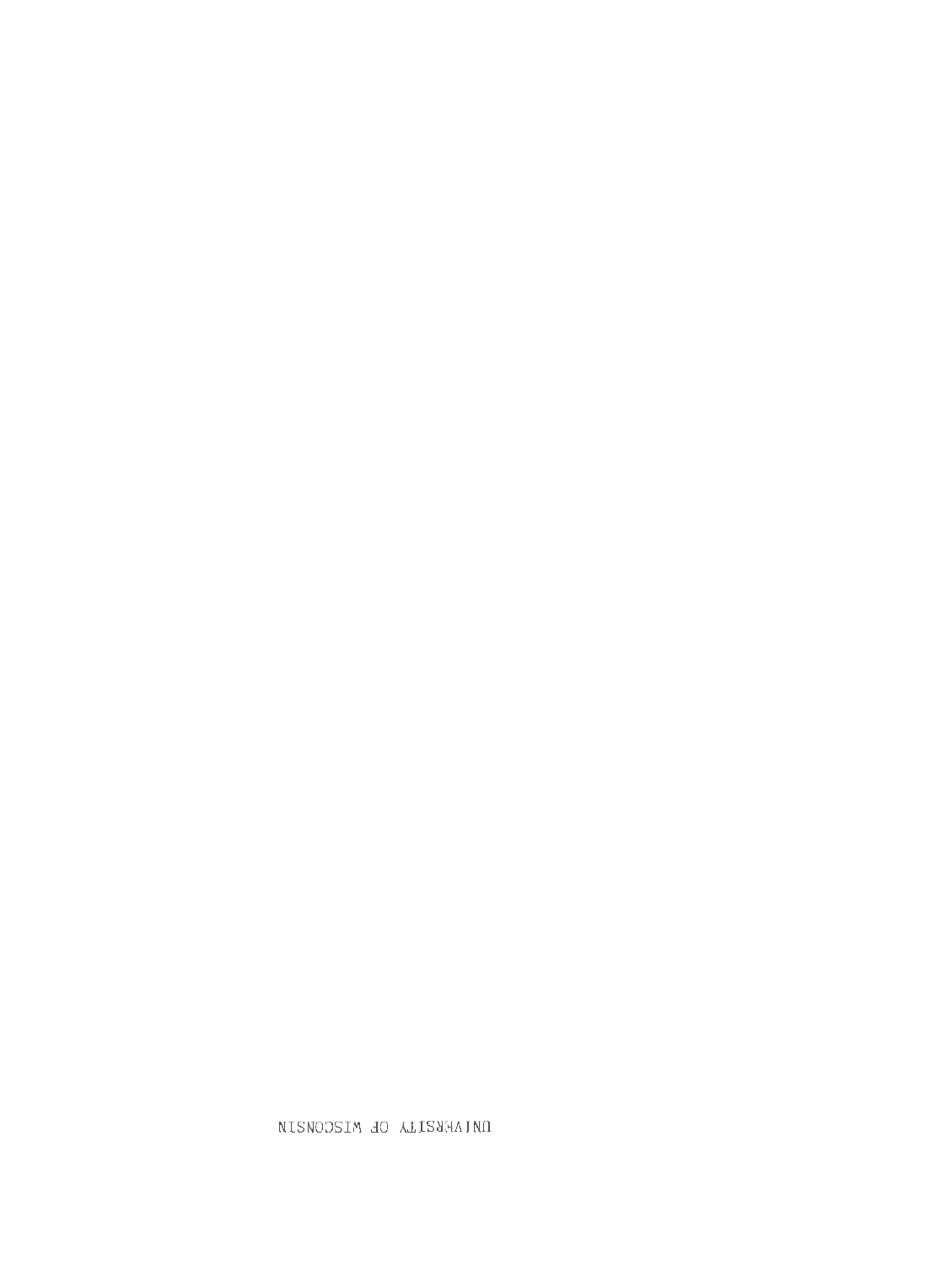NISNODSIM JO ALISSAAJNO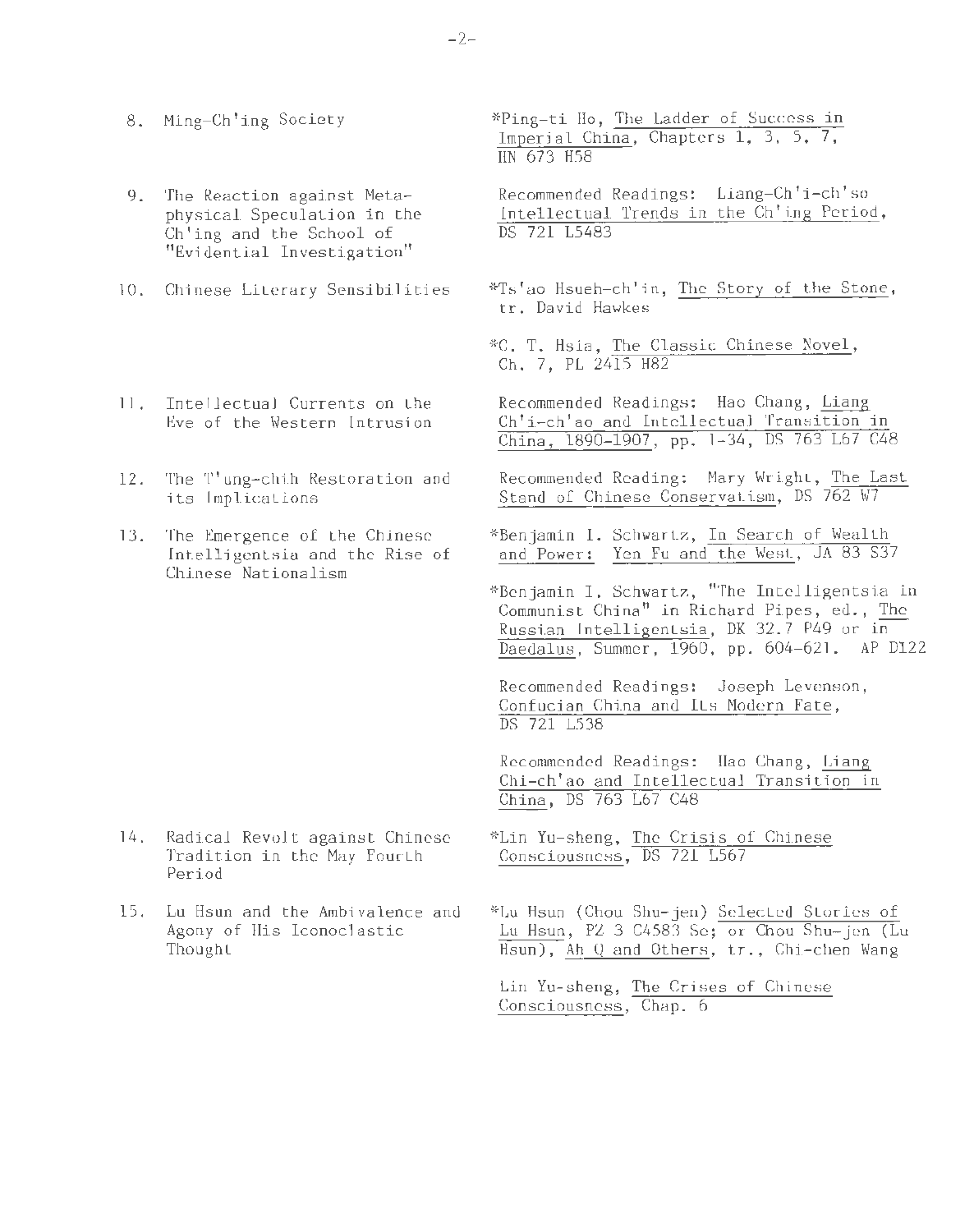- 8. Ming-Ch'ing Society
- 9. The Reaction against Metaphysical Speculation in the Ch'ing and the School of "Evidential Investigation"
- 10. Chinese Literary Sensibilities
- 11. Intellectual Currents on the Eve of the Western Intrusion
- 12. The T' ung-chih Restoration and its Implications
- 13. The Emergence of the Chinese Intelligentsia and the Rise of Chinese Nationalism

- 14. Radical Revolt against Chinese Tradition in the May Fourth Period
- 15. Lu Hsun and the AMbivalence and Agony of His Iconoclastic Thought

\*Ping- ti Ho, The Ladder of Success in Imperial China, Chapters 1, 3, 5, 7, HN 673 H58

Recommended Readings: Liang-Ch'i-ch'so Intellectual Trends in the Ch'ing Period, DS 721 L5483

- \*Ts'ao Hsueh- ch'in, The Story of the Stone, tr. David Hawkes
- \*C. T. Hsia, The Classic Chinese Novel, Ch. 7, PL 2415 H82

Recommended Readings: Hao Chang, Liang Ch ' i-ch'ao and Intellectual Transition in China, 1890-1907, pp. 1-34, DS 763 L67 C48

Recommended Reading: Mary Wright, The Last Stand of Chinese Conservatism, DS 762 W7

\*Benjamin I. Schwartz, In Search of Wealth and Power: Yen Fu and the West, JA 83 S37

~~Benjamin I. Schwartz, "The Intelligentsia in Communist China" in Richard Pipes, ed., The Russian Intelligentsia, DK 32.7  $P49$  or in-Daedalus, Summer, 1960, pp. 604-621. AP D122

Recommended Readings: Joseph Levenson, Confucian China and Its Modern Fate, DS 721 L538

Recommended Readings: Hao Chang, Liang Chi-ch'ao and Intellectual Transition in China, DS 763 L67 C48

\*Lin Yu- sheng, The Crisis of Chinese Consciousness, DS 721 L567

\*Lu Hsun (Chou Shu-jen) Selected Stories of Lu Hsun, PZ 3 C4583 Se; or Chou Shu-jen (Lu Hsun), Ah Q and Others, tr., Chi-chen Wang

Lin Yu-sheng, The Crises of Chinese Consciousness, Chap. 6